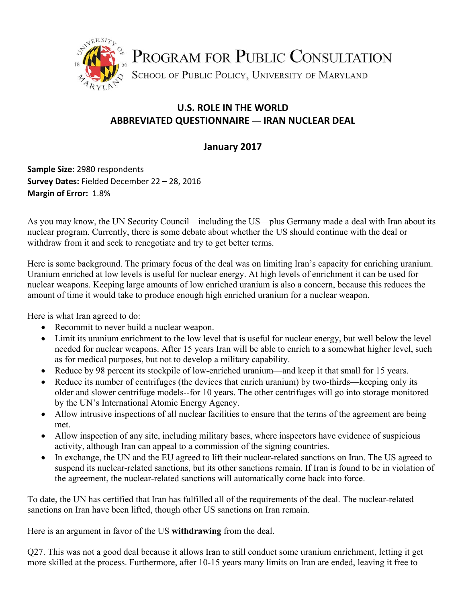

## **U.S. ROLE IN THE WORLD ABBREVIATED QUESTIONNAIRE** — **IRAN NUCLEAR DEAL**

## **January 2017**

**Sample Size:** 2980 respondents **Survey Dates:** Fielded December 22 – 28, 2016 **Margin of Error: 1.8%** 

As you may know, the UN Security Council—including the US—plus Germany made a deal with Iran about its nuclear program. Currently, there is some debate about whether the US should continue with the deal or withdraw from it and seek to renegotiate and try to get better terms.

Here is some background. The primary focus of the deal was on limiting Iran's capacity for enriching uranium. Uranium enriched at low levels is useful for nuclear energy. At high levels of enrichment it can be used for nuclear weapons. Keeping large amounts of low enriched uranium is also a concern, because this reduces the amount of time it would take to produce enough high enriched uranium for a nuclear weapon.

Here is what Iran agreed to do:

- Recommit to never build a nuclear weapon.
- Limit its uranium enrichment to the low level that is useful for nuclear energy, but well below the level needed for nuclear weapons. After 15 years Iran will be able to enrich to a somewhat higher level, such as for medical purposes, but not to develop a military capability.
- Reduce by 98 percent its stockpile of low-enriched uranium—and keep it that small for 15 years.
- Reduce its number of centrifuges (the devices that enrich uranium) by two-thirds—keeping only its older and slower centrifuge models--for 10 years. The other centrifuges will go into storage monitored by the UN's International Atomic Energy Agency.
- Allow intrusive inspections of all nuclear facilities to ensure that the terms of the agreement are being met.
- Allow inspection of any site, including military bases, where inspectors have evidence of suspicious activity, although Iran can appeal to a commission of the signing countries.
- In exchange, the UN and the EU agreed to lift their nuclear-related sanctions on Iran. The US agreed to suspend its nuclear-related sanctions, but its other sanctions remain. If Iran is found to be in violation of the agreement, the nuclear-related sanctions will automatically come back into force.

To date, the UN has certified that Iran has fulfilled all of the requirements of the deal. The nuclear-related sanctions on Iran have been lifted, though other US sanctions on Iran remain.

Here is an argument in favor of the US **withdrawing** from the deal.

Q27. This was not a good deal because it allows Iran to still conduct some uranium enrichment, letting it get more skilled at the process. Furthermore, after 10-15 years many limits on Iran are ended, leaving it free to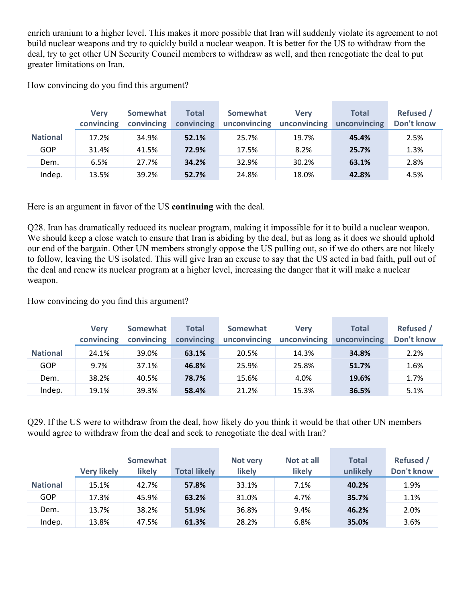enrich uranium to a higher level. This makes it more possible that Iran will suddenly violate its agreement to not build nuclear weapons and try to quickly build a nuclear weapon. It is better for the US to withdraw from the deal, try to get other UN Security Council members to withdraw as well, and then renegotiate the deal to put greater limitations on Iran.

How convincing do you find this argument?

|                 | <b>Verv</b><br>convincing | Somewhat<br>convincing | <b>Total</b><br>convincing | Somewhat<br>unconvincing | <b>Verv</b><br>unconvincing | <b>Total</b><br>unconvincing | <b>Refused</b> /<br>Don't know |
|-----------------|---------------------------|------------------------|----------------------------|--------------------------|-----------------------------|------------------------------|--------------------------------|
| <b>National</b> | 17.2%                     | 34.9%                  | 52.1%                      | 25.7%                    | 19.7%                       | 45.4%                        | 2.5%                           |
| GOP             | 31.4%                     | 41.5%                  | 72.9%                      | 17.5%                    | 8.2%                        | 25.7%                        | 1.3%                           |
| Dem.            | 6.5%                      | 27.7%                  | 34.2%                      | 32.9%                    | 30.2%                       | 63.1%                        | 2.8%                           |
| Indep.          | 13.5%                     | 39.2%                  | 52.7%                      | 24.8%                    | 18.0%                       | 42.8%                        | 4.5%                           |

Here is an argument in favor of the US **continuing** with the deal.

Q28. Iran has dramatically reduced its nuclear program, making it impossible for it to build a nuclear weapon. We should keep a close watch to ensure that Iran is abiding by the deal, but as long as it does we should uphold our end of the bargain. Other UN members strongly oppose the US pulling out, so if we do others are not likely to follow, leaving the US isolated. This will give Iran an excuse to say that the US acted in bad faith, pull out of the deal and renew its nuclear program at a higher level, increasing the danger that it will make a nuclear weapon.

How convincing do you find this argument?

|                 | <b>Verv</b><br>convincing | Somewhat<br>convincing | Total<br>convincing | Somewhat<br>unconvincing | <b>Verv</b><br>unconvincing | <b>Total</b><br>unconvincing | <b>Refused</b> /<br>Don't know |
|-----------------|---------------------------|------------------------|---------------------|--------------------------|-----------------------------|------------------------------|--------------------------------|
| <b>National</b> | 24.1%                     | 39.0%                  | 63.1%               | 20.5%                    | 14.3%                       | 34.8%                        | 2.2%                           |
| GOP             | 9.7%                      | 37.1%                  | 46.8%               | 25.9%                    | 25.8%                       | 51.7%                        | 1.6%                           |
| Dem.            | 38.2%                     | 40.5%                  | 78.7%               | 15.6%                    | 4.0%                        | 19.6%                        | 1.7%                           |
| Indep.          | 19.1%                     | 39.3%                  | 58.4%               | 21.2%                    | 15.3%                       | 36.5%                        | 5.1%                           |

Q29. If the US were to withdraw from the deal, how likely do you think it would be that other UN members would agree to withdraw from the deal and seek to renegotiate the deal with Iran?

|                 | <b>Very likely</b> | Somewhat<br>likely | <b>Total likely</b> | Not very<br>likely | Not at all<br><b>likely</b> | <b>Total</b><br>unlikely | <b>Refused</b> /<br>Don't know |
|-----------------|--------------------|--------------------|---------------------|--------------------|-----------------------------|--------------------------|--------------------------------|
| <b>National</b> | 15.1%              | 42.7%              | 57.8%               | 33.1%              | 7.1%                        | 40.2%                    | 1.9%                           |
| GOP             | 17.3%              | 45.9%              | 63.2%               | 31.0%              | 4.7%                        | 35.7%                    | 1.1%                           |
| Dem.            | 13.7%              | 38.2%              | 51.9%               | 36.8%              | 9.4%                        | 46.2%                    | 2.0%                           |
| Indep.          | 13.8%              | 47.5%              | 61.3%               | 28.2%              | 6.8%                        | 35.0%                    | 3.6%                           |